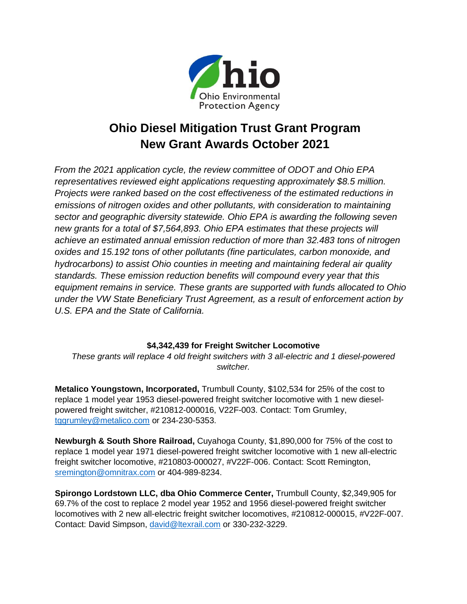

## **Ohio Diesel Mitigation Trust Grant Program New Grant Awards October 2021**

*From the 2021 application cycle, the review committee of ODOT and Ohio EPA representatives reviewed eight applications requesting approximately \$8.5 million. Projects were ranked based on the cost effectiveness of the estimated reductions in emissions of nitrogen oxides and other pollutants, with consideration to maintaining sector and geographic diversity statewide. Ohio EPA is awarding the following seven new grants for a total of \$7,564,893. Ohio EPA estimates that these projects will achieve an estimated annual emission reduction of more than 32.483 tons of nitrogen oxides and 15.192 tons of other pollutants (fine particulates, carbon monoxide, and hydrocarbons) to assist Ohio counties in meeting and maintaining federal air quality standards. These emission reduction benefits will compound every year that this equipment remains in service. These grants are supported with funds allocated to Ohio under the VW State Beneficiary Trust Agreement, as a result of enforcement action by U.S. EPA and the State of California.*

## **\$4,342,439 for Freight Switcher Locomotive**

*These grants will replace 4 old freight switchers with 3 all-electric and 1 diesel-powered switcher.*

**Metalico Youngstown, Incorporated,** Trumbull County, \$102,534 for 25% of the cost to replace 1 model year 1953 diesel-powered freight switcher locomotive with 1 new dieselpowered freight switcher, #210812-000016, V22F-003. Contact: Tom Grumley, [tggrumley@metalico.com](mailto:tggrumley@metalico.com) or 234-230-5353.

**Newburgh & South Shore Railroad,** Cuyahoga County, \$1,890,000 for 75% of the cost to replace 1 model year 1971 diesel-powered freight switcher locomotive with 1 new all-electric freight switcher locomotive, #210803-000027, #V22F-006. Contact: Scott Remington, [sremington@omnitrax.com](mailto:sremington@omnitrax.com) or 404-989-8234.

**Spirongo Lordstown LLC, dba Ohio Commerce Center,** Trumbull County, \$2,349,905 for 69.7% of the cost to replace 2 model year 1952 and 1956 diesel-powered freight switcher locomotives with 2 new all-electric freight switcher locomotives, #210812-000015, #V22F-007. Contact: David Simpson, [david@ltexrail.com](mailto:david@ltexrail.com) or 330-232-3229.